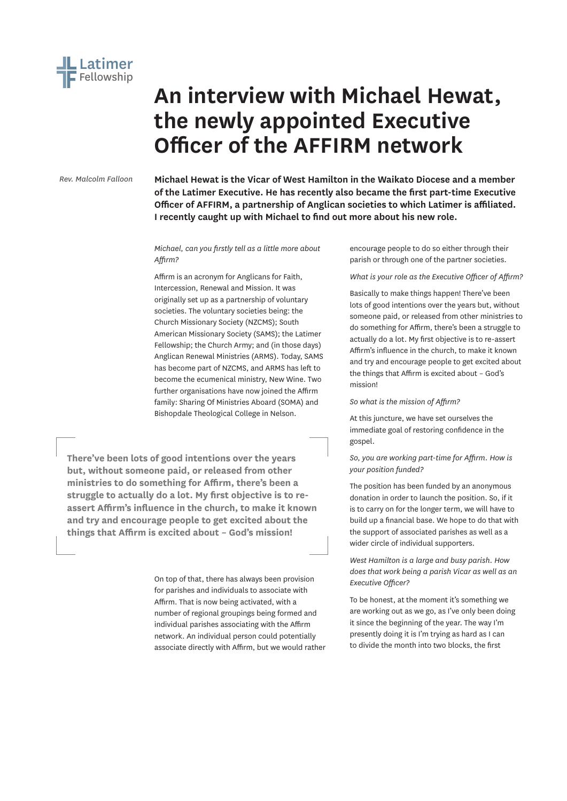

# **An interview with Michael Hewat, the newly appointed Executive Officer of the AFFIRM network**

*Rev. Malcolm Falloon*

**Michael Hewat is the Vicar of West Hamilton in the Waikato Diocese and a member of the Latimer Executive. He has recently also became the first part-time Executive Officer of AFFIRM, a partnership of Anglican societies to which Latimer is affiliated. I recently caught up with Michael to find out more about his new role.**

# *Michael, can you firstly tell as a little more about Affirm?*

Affirm is an acronym for Anglicans for Faith, Intercession, Renewal and Mission. It was originally set up as a partnership of voluntary societies. The voluntary societies being: the Church Missionary Society (NZCMS); South American Missionary Society (SAMS); the Latimer Fellowship; the Church Army; and (in those days) Anglican Renewal Ministries (ARMS). Today, SAMS has become part of NZCMS, and ARMS has left to become the ecumenical ministry, New Wine. Two further organisations have now joined the Affirm family: Sharing Of Ministries Aboard (SOMA) and Bishopdale Theological College in Nelson.

**There've been lots of good intentions over the years but, without someone paid, or released from other ministries to do something for Affirm, there's been a struggle to actually do a lot. My first objective is to reassert Affirm's influence in the church, to make it known and try and encourage people to get excited about the things that Affirm is excited about – God's mission!**

> On top of that, there has always been provision for parishes and individuals to associate with Affirm. That is now being activated, with a number of regional groupings being formed and individual parishes associating with the Affirm network. An individual person could potentially associate directly with Affirm, but we would rather

encourage people to do so either through their parish or through one of the partner societies.

*What is your role as the Executive Officer of Affirm?*

Basically to make things happen! There've been lots of good intentions over the years but, without someone paid, or released from other ministries to do something for Affirm, there's been a struggle to actually do a lot. My first objective is to re-assert Affirm's influence in the church, to make it known and try and encourage people to get excited about the things that Affirm is excited about – God's mission!

*So what is the mission of Affirm?*

At this juncture, we have set ourselves the immediate goal of restoring confidence in the gospel.

*So, you are working part-time for Affirm. How is your position funded?*

The position has been funded by an anonymous donation in order to launch the position. So, if it is to carry on for the longer term, we will have to build up a financial base. We hope to do that with the support of associated parishes as well as a wider circle of individual supporters.

*West Hamilton is a large and busy parish. How does that work being a parish Vicar as well as an Executive Officer?*

To be honest, at the moment it's something we are working out as we go, as I've only been doing it since the beginning of the year. The way I'm presently doing it is I'm trying as hard as I can to divide the month into two blocks, the first